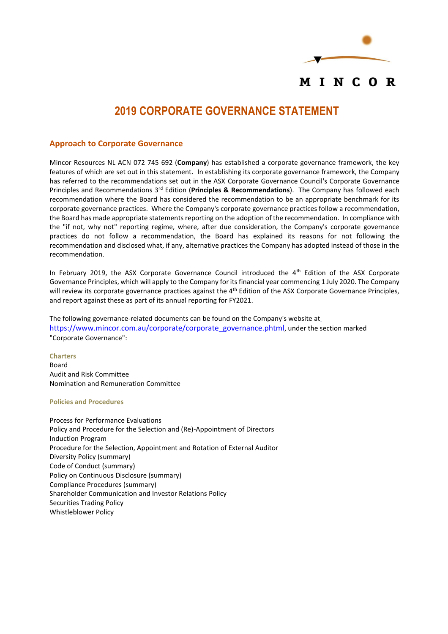

#### **2019 CORPORATE GOVERNANCE STATEMENT**

#### **Approach to Corporate Governance**

Mincor Resources NL ACN 072 745 692 (**Company**) has established a corporate governance framework, the key features of which are set out in this statement. In establishing its corporate governance framework, the Company has referred to the recommendations set out in the ASX Corporate Governance Council's Corporate Governance Principles and Recommendations 3rd Edition (**Principles & Recommendations**). The Company has followed each recommendation where the Board has considered the recommendation to be an appropriate benchmark for its corporate governance practices. Where the Company's corporate governance practices follow a recommendation, the Board has made appropriate statements reporting on the adoption of the recommendation. In compliance with the "if not, why not" reporting regime, where, after due consideration, the Company's corporate governance practices do not follow a recommendation, the Board has explained its reasons for not following the recommendation and disclosed what, if any, alternative practices the Company has adopted instead of those in the recommendation.

In February 2019, the ASX Corporate Governance Council introduced the  $4<sup>th</sup>$  Edition of the ASX Corporate Governance Principles, which will apply to the Company for its financial year commencing 1 July 2020. The Company will review its corporate governance practices against the  $4<sup>th</sup>$  Edition of the ASX Corporate Governance Principles, and report against these as part of its annual reporting for FY2021.

The following governance-related documents can be found on the Company's website at [https://www.mincor.com.au/corporate/corporate\\_governance.phtml](https://www.mincor.com.au/corporate/corporate_governance.phtml), under the section marked "Corporate Governance":

**Charters** Board Audit and Risk Committee Nomination and Remuneration Committee

#### **Policies and Procedures**

Process for Performance Evaluations Policy and Procedure for the Selection and (Re)-Appointment of Directors Induction Program Procedure for the Selection, Appointment and Rotation of External Auditor Diversity Policy (summary) Code of Conduct (summary) Policy on Continuous Disclosure (summary) Compliance Procedures (summary) Shareholder Communication and Investor Relations Policy Securities Trading Policy Whistleblower Policy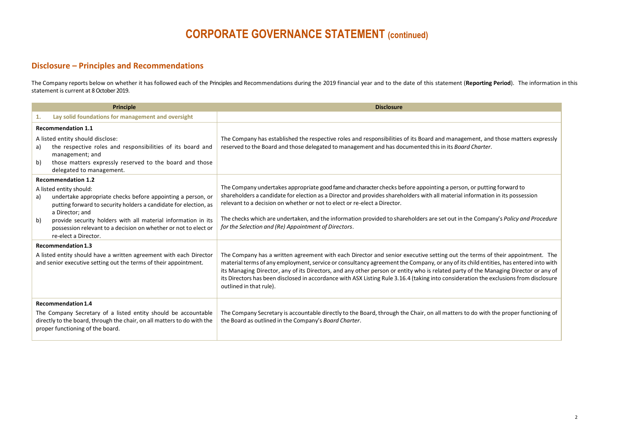#### **Disclosure – Principles and Recommendations**

The Company reports below on whether it has followed each of the Principles and Recommendations during the 2019 financial year and to the date of this statement (**Reporting Period**). The information in this statement is current at 8 October 2019.

| <b>Principle</b>                                                                                                                                                                                    |                                                                                                                                                                                                                                                                                                                                                                        | <b>Disclosure</b>                                                                                                                                                                                                                                                                                                                                                                                                                                                                                                                                                             |
|-----------------------------------------------------------------------------------------------------------------------------------------------------------------------------------------------------|------------------------------------------------------------------------------------------------------------------------------------------------------------------------------------------------------------------------------------------------------------------------------------------------------------------------------------------------------------------------|-------------------------------------------------------------------------------------------------------------------------------------------------------------------------------------------------------------------------------------------------------------------------------------------------------------------------------------------------------------------------------------------------------------------------------------------------------------------------------------------------------------------------------------------------------------------------------|
| 1.                                                                                                                                                                                                  | Lay solid foundations for management and oversight                                                                                                                                                                                                                                                                                                                     |                                                                                                                                                                                                                                                                                                                                                                                                                                                                                                                                                                               |
| <b>Recommendation 1.1</b>                                                                                                                                                                           |                                                                                                                                                                                                                                                                                                                                                                        |                                                                                                                                                                                                                                                                                                                                                                                                                                                                                                                                                                               |
| a)<br>b)                                                                                                                                                                                            | A listed entity should disclose:<br>the respective roles and responsibilities of its board and<br>management; and<br>those matters expressly reserved to the board and those<br>delegated to management.                                                                                                                                                               | The Company has established the respective roles and responsibilities of its Board and management, and those matters expressly<br>reserved to the Board and those delegated to management and has documented this in its Board Charter.                                                                                                                                                                                                                                                                                                                                       |
| a)<br>b)                                                                                                                                                                                            | <b>Recommendation 1.2</b><br>A listed entity should:<br>undertake appropriate checks before appointing a person, or<br>putting forward to security holders a candidate for election, as<br>a Director; and<br>provide security holders with all material information in its<br>possession relevant to a decision on whether or not to elect or<br>re-elect a Director. | The Company undertakes appropriate good fame and character checks before appointing a person, or putting forward to<br>shareholders a candidate for election as a Director and provides shareholders with all material information in its possession<br>relevant to a decision on whether or not to elect or re-elect a Director.<br>The checks which are undertaken, and the information provided to shareholders are set out in the Company's Policy and Procedure<br>for the Selection and (Re) Appointment of Directors.                                                  |
| <b>Recommendation 1.3</b><br>A listed entity should have a written agreement with each Director<br>and senior executive setting out the terms of their appointment.                                 |                                                                                                                                                                                                                                                                                                                                                                        | The Company has a written agreement with each Director and senior executive setting out the terms of their appointment. The<br>material terms of any employment, service or consultancy agreement the Company, or any of its child entities, has entered into with<br>its Managing Director, any of its Directors, and any other person or entity who is related party of the Managing Director or any of<br>its Directors has been disclosed in accordance with ASX Listing Rule 3.16.4 (taking into consideration the exclusions from disclosure<br>outlined in that rule). |
| Recommendation 1.4<br>The Company Secretary of a listed entity should be accountable<br>directly to the board, through the chair, on all matters to do with the<br>proper functioning of the board. |                                                                                                                                                                                                                                                                                                                                                                        | The Company Secretary is accountable directly to the Board, through the Chair, on all matters to do with the proper functioning of<br>the Board as outlined in the Company's Board Charter.                                                                                                                                                                                                                                                                                                                                                                                   |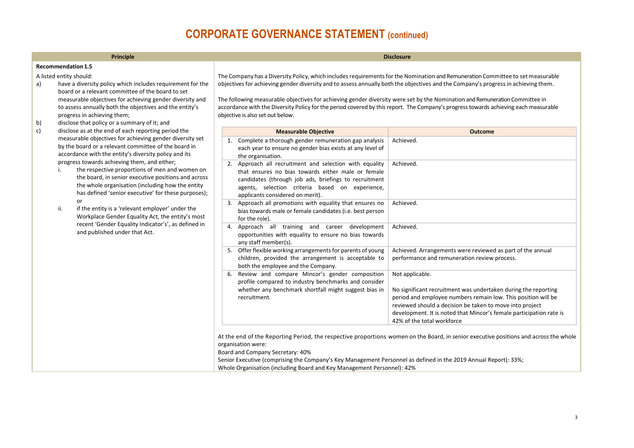| . . |  |
|-----|--|

A listed entity should:

- a) have a diversity policy which includes requirement for the board or a relevant committee of the board to set measurable objectives for achieving gender diversity and to assess annually both the objectives and the entity's progress in achieving them;
- b) disclose that policy or a summary of it; and<br>c) disclose as at the end of each reporting per
- disclose as at the end of each reporting period the measurable objectives for achieving gender diversity set by the board or a relevant committee of the board in accordance with the entity's diversity policy and its progress towards achieving them, and either;
	- i. the respective proportions of men and women on the board, in senior executive positions and across the whole organisation (including how the entity has defined 'senior executive' for these purposes); or
	- ii. if the entity is a 'relevant employer' under the Workplace Gender Equality Act, the entity's most recent 'Gender Equality Indicator's', as defined in and published under that Act.

The Company has a Diversity Policy, which includes requirements for the Nomination and Remuneration Committee to set measurable objectivesfor achieving gender diversity and to assess annually both the objectives and the Company's progressin achieving them.

The following measurable objectives for achieving gender diversity were set by the Nomination and Remuneration Committee in accordance with the Diversity Policy for the period covered by this report. The Company's progress towards achieving each measurable objective is also set out below.

|    | <b>Measurable Objective</b>                                                                                                                                                                                                                                   | <b>Outcome</b>                                                                                                                                                                                                                                                                                                      |
|----|---------------------------------------------------------------------------------------------------------------------------------------------------------------------------------------------------------------------------------------------------------------|---------------------------------------------------------------------------------------------------------------------------------------------------------------------------------------------------------------------------------------------------------------------------------------------------------------------|
| 1. | Complete a thorough gender remuneration gap analysis<br>each year to ensure no gender bias exists at any level of<br>the organisation.                                                                                                                        | Achieved.                                                                                                                                                                                                                                                                                                           |
|    | 2. Approach all recruitment and selection with equality<br>that ensures no bias towards either male or female<br>candidates (through job ads, briefings to recruitment<br>agents, selection criteria based on experience,<br>applicants considered on merit). | Achieved.                                                                                                                                                                                                                                                                                                           |
| 3. | Approach all promotions with equality that ensures no<br>bias towards male or female candidates (i.e. best person<br>for the role).                                                                                                                           | Achieved.                                                                                                                                                                                                                                                                                                           |
| 4. | Approach all training and career development<br>opportunities with equality to ensure no bias towards<br>any staff member(s).                                                                                                                                 | Achieved.                                                                                                                                                                                                                                                                                                           |
| 5. | Offer flexible working arrangements for parents of young<br>children, provided the arrangement is acceptable to<br>both the employee and the Company.                                                                                                         | Achieved. Arrangements were reviewed as part of the annual<br>performance and remuneration review process.                                                                                                                                                                                                          |
| 6. | Review and compare Mincor's gender composition<br>profile compared to industry benchmarks and consider<br>whether any benchmark shortfall might suggest bias in<br>recruitment.                                                                               | Not applicable.<br>No significant recruitment was undertaken during the reporting<br>period and employee numbers remain low. This position will be<br>reviewed should a decision be taken to move into project<br>development. It is noted that Mincor's female participation rate is<br>42% of the total workforce |

At the end of the Reporting Period, the respective proportions women on the Board, in senior executive positions and across the whole organisation were:

Board and Company Secretary: 40%

Senior Executive (comprising the Company's Key Management Personnel as defined in the 2019 Annual Report): 33%; Whole Organisation (including Board and Key Management Personnel): 42%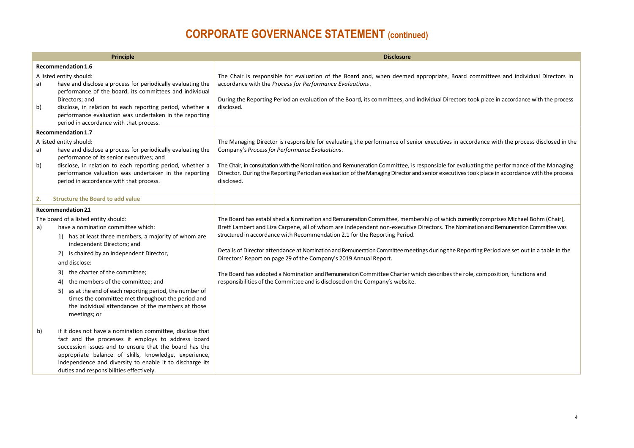| <b>Principle</b>                              |                                                                                                                                                                                                                                                                                                                                                                                                                                                                                                          | <b>Disclosure</b>                                                                                                                                                                                                                                                                                                                                                                                                                                                                                                                                                                                                                                                                                                                                                                     |
|-----------------------------------------------|----------------------------------------------------------------------------------------------------------------------------------------------------------------------------------------------------------------------------------------------------------------------------------------------------------------------------------------------------------------------------------------------------------------------------------------------------------------------------------------------------------|---------------------------------------------------------------------------------------------------------------------------------------------------------------------------------------------------------------------------------------------------------------------------------------------------------------------------------------------------------------------------------------------------------------------------------------------------------------------------------------------------------------------------------------------------------------------------------------------------------------------------------------------------------------------------------------------------------------------------------------------------------------------------------------|
| Recommendation 1.6                            |                                                                                                                                                                                                                                                                                                                                                                                                                                                                                                          |                                                                                                                                                                                                                                                                                                                                                                                                                                                                                                                                                                                                                                                                                                                                                                                       |
| a)<br>b)                                      | A listed entity should:<br>have and disclose a process for periodically evaluating the<br>performance of the board, its committees and individual<br>Directors; and<br>disclose, in relation to each reporting period, whether a<br>performance evaluation was undertaken in the reporting<br>period in accordance with that process.                                                                                                                                                                    | The Chair is responsible for evaluation of the Board and, when deemed appropriate, Board committees and individual Directors in<br>accordance with the Process for Performance Evaluations.<br>During the Reporting Period an evaluation of the Board, its committees, and individual Directors took place in accordance with the process<br>disclosed.                                                                                                                                                                                                                                                                                                                                                                                                                               |
|                                               | Recommendation 1.7                                                                                                                                                                                                                                                                                                                                                                                                                                                                                       |                                                                                                                                                                                                                                                                                                                                                                                                                                                                                                                                                                                                                                                                                                                                                                                       |
| a)<br>b)                                      | A listed entity should:<br>have and disclose a process for periodically evaluating the<br>performance of its senior executives; and<br>disclose, in relation to each reporting period, whether a<br>performance valuation was undertaken in the reporting<br>period in accordance with that process.                                                                                                                                                                                                     | The Managing Director is responsible for evaluating the performance of senior executives in accordance with the process disclosed in the<br>Company's Process for Performance Evaluations.<br>The Chair, in consultation with the Nomination and Remuneration Committee, is responsible for evaluating the performance of the Managing<br>Director. During the Reporting Period an evaluation of the Managing Director and senior executives took place in accordance with the process<br>disclosed.                                                                                                                                                                                                                                                                                  |
| <b>Structure the Board to add value</b><br>2. |                                                                                                                                                                                                                                                                                                                                                                                                                                                                                                          |                                                                                                                                                                                                                                                                                                                                                                                                                                                                                                                                                                                                                                                                                                                                                                                       |
|                                               | <b>Recommendation 2.1</b>                                                                                                                                                                                                                                                                                                                                                                                                                                                                                |                                                                                                                                                                                                                                                                                                                                                                                                                                                                                                                                                                                                                                                                                                                                                                                       |
| a)                                            | The board of a listed entity should:<br>have a nomination committee which:<br>1) has at least three members, a majority of whom are<br>independent Directors; and<br>2) is chaired by an independent Director,<br>and disclose:<br>3) the charter of the committee;<br>the members of the committee; and<br>4)<br>as at the end of each reporting period, the number of<br>5)<br>times the committee met throughout the period and<br>the individual attendances of the members at those<br>meetings; or | The Board has established a Nomination and Remuneration Committee, membership of which currently comprises Michael Bohm (Chair),<br>Brett Lambert and Liza Carpene, all of whom are independent non-executive Directors. The Nomination and Remuneration Committee was<br>structured in accordance with Recommendation 2.1 for the Reporting Period.<br>Details of Director attendance at Nomination and Remuneration Committee meetings during the Reporting Period are set out in a table in the<br>Directors' Report on page 29 of the Company's 2019 Annual Report.<br>The Board has adopted a Nomination and Remuneration Committee Charter which describes the role, composition, functions and<br>responsibilities of the Committee and is disclosed on the Company's website. |
| b)                                            | if it does not have a nomination committee, disclose that<br>fact and the processes it employs to address board<br>succession issues and to ensure that the board has the<br>appropriate balance of skills, knowledge, experience,<br>independence and diversity to enable it to discharge its<br>duties and responsibilities effectively.                                                                                                                                                               |                                                                                                                                                                                                                                                                                                                                                                                                                                                                                                                                                                                                                                                                                                                                                                                       |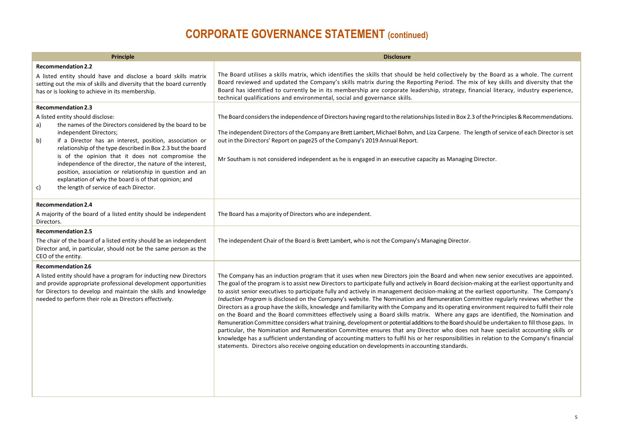| <b>Principle</b>                                                                                                                                                                                                                                                                                                                                                                                                                                                                                                                                                                 | <b>Disclosure</b>                                                                                                                                                                                                                                                                                                                                                                                                                                                                                                                                                                                                                                                                                                                                                                                                                                                                                                                                                                                                                                                                                                                                                                                                                                                                                                                                                                        |
|----------------------------------------------------------------------------------------------------------------------------------------------------------------------------------------------------------------------------------------------------------------------------------------------------------------------------------------------------------------------------------------------------------------------------------------------------------------------------------------------------------------------------------------------------------------------------------|------------------------------------------------------------------------------------------------------------------------------------------------------------------------------------------------------------------------------------------------------------------------------------------------------------------------------------------------------------------------------------------------------------------------------------------------------------------------------------------------------------------------------------------------------------------------------------------------------------------------------------------------------------------------------------------------------------------------------------------------------------------------------------------------------------------------------------------------------------------------------------------------------------------------------------------------------------------------------------------------------------------------------------------------------------------------------------------------------------------------------------------------------------------------------------------------------------------------------------------------------------------------------------------------------------------------------------------------------------------------------------------|
| <b>Recommendation 2.2</b><br>A listed entity should have and disclose a board skills matrix<br>setting out the mix of skills and diversity that the board currently<br>has or is looking to achieve in its membership.                                                                                                                                                                                                                                                                                                                                                           | The Board utilises a skills matrix, which identifies the skills that should be held collectively by the Board as a whole. The current<br>Board reviewed and updated the Company's skills matrix during the Reporting Period. The mix of key skills and diversity that the<br>Board has identified to currently be in its membership are corporate leadership, strategy, financial literacy, industry experience,<br>technical qualifications and environmental, social and governance skills.                                                                                                                                                                                                                                                                                                                                                                                                                                                                                                                                                                                                                                                                                                                                                                                                                                                                                            |
| <b>Recommendation 2.3</b><br>A listed entity should disclose:<br>the names of the Directors considered by the board to be<br>a)<br>independent Directors;<br>if a Director has an interest, position, association or<br>b)<br>relationship of the type described in Box 2.3 but the board<br>is of the opinion that it does not compromise the<br>independence of the director, the nature of the interest,<br>position, association or relationship in question and an<br>explanation of why the board is of that opinion; and<br>the length of service of each Director.<br>C) | The Board considers the independence of Directors having regard to the relationships listed in Box 2.3 of the Principles & Recommendations.<br>The independent Directors of the Company are Brett Lambert, Michael Bohm, and Liza Carpene. The length of service of each Director is set<br>out in the Directors' Report on page25 of the Company's 2019 Annual Report.<br>Mr Southam is not considered independent as he is engaged in an executive capacity as Managing Director.                                                                                                                                                                                                                                                                                                                                                                                                                                                                                                                                                                                                                                                                                                                                                                                                                                                                                                      |
| <b>Recommendation 2.4</b><br>A majority of the board of a listed entity should be independent<br>Directors.                                                                                                                                                                                                                                                                                                                                                                                                                                                                      | The Board has a majority of Directors who are independent.                                                                                                                                                                                                                                                                                                                                                                                                                                                                                                                                                                                                                                                                                                                                                                                                                                                                                                                                                                                                                                                                                                                                                                                                                                                                                                                               |
| <b>Recommendation 2.5</b><br>The chair of the board of a listed entity should be an independent<br>Director and, in particular, should not be the same person as the<br>CEO of the entity.                                                                                                                                                                                                                                                                                                                                                                                       | The independent Chair of the Board is Brett Lambert, who is not the Company's Managing Director.                                                                                                                                                                                                                                                                                                                                                                                                                                                                                                                                                                                                                                                                                                                                                                                                                                                                                                                                                                                                                                                                                                                                                                                                                                                                                         |
| Recommendation 26<br>A listed entity should have a program for inducting new Directors<br>and provide appropriate professional development opportunities<br>for Directors to develop and maintain the skills and knowledge<br>needed to perform their role as Directors effectively.                                                                                                                                                                                                                                                                                             | The Company has an induction program that it uses when new Directors join the Board and when new senior executives are appointed.<br>The goal of the program is to assist new Directors to participate fully and actively in Board decision-making at the earliest opportunity and<br>to assist senior executives to participate fully and actively in management decision-making at the earliest opportunity. The Company's<br>Induction Program is disclosed on the Company's website. The Nomination and Remuneration Committee regularly reviews whether the<br>Directors as a group have the skills, knowledge and familiarity with the Company and its operating environment required to fulfil their role<br>on the Board and the Board committees effectively using a Board skills matrix. Where any gaps are identified, the Nomination and<br>Remuneration Committee considers what training, development or potential additions to the Board should be undertaken to fill those gaps. In<br>particular, the Nomination and Remuneration Committee ensures that any Director who does not have specialist accounting skills or<br>knowledge has a sufficient understanding of accounting matters to fulfil his or her responsibilities in relation to the Company's financial<br>statements. Directors also receive ongoing education on developments in accounting standards. |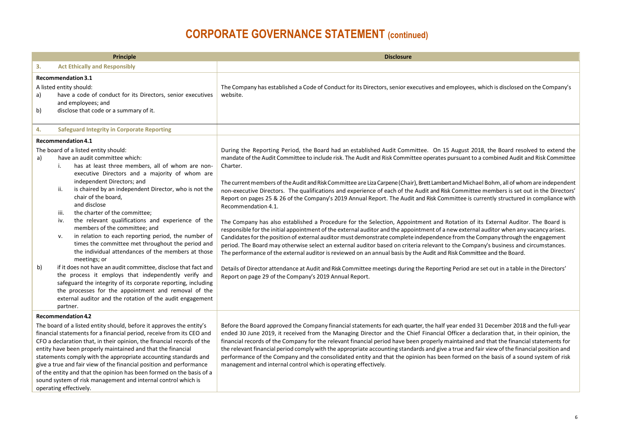| <b>Principle</b>                                                                                                                                                                                                                                                                                                                                                                                                                                                                                                                                                                                                          |                                                                                                                                                                                                                                                                                                                                                                                                                                                                                                                                                                                                                                                                                                                                                                                                                                                                                                                                | <b>Disclosure</b>                                                                                                                                                                                                                                                                                                                                                                                                                                                                                                                                                                                                                                                                                                                                                                                                                                                                                                                                                                                                                                                                                                                                                                                                                                                                                                                                                                                                                                                                                                                                                                                                             |
|---------------------------------------------------------------------------------------------------------------------------------------------------------------------------------------------------------------------------------------------------------------------------------------------------------------------------------------------------------------------------------------------------------------------------------------------------------------------------------------------------------------------------------------------------------------------------------------------------------------------------|--------------------------------------------------------------------------------------------------------------------------------------------------------------------------------------------------------------------------------------------------------------------------------------------------------------------------------------------------------------------------------------------------------------------------------------------------------------------------------------------------------------------------------------------------------------------------------------------------------------------------------------------------------------------------------------------------------------------------------------------------------------------------------------------------------------------------------------------------------------------------------------------------------------------------------|-------------------------------------------------------------------------------------------------------------------------------------------------------------------------------------------------------------------------------------------------------------------------------------------------------------------------------------------------------------------------------------------------------------------------------------------------------------------------------------------------------------------------------------------------------------------------------------------------------------------------------------------------------------------------------------------------------------------------------------------------------------------------------------------------------------------------------------------------------------------------------------------------------------------------------------------------------------------------------------------------------------------------------------------------------------------------------------------------------------------------------------------------------------------------------------------------------------------------------------------------------------------------------------------------------------------------------------------------------------------------------------------------------------------------------------------------------------------------------------------------------------------------------------------------------------------------------------------------------------------------------|
| 3.                                                                                                                                                                                                                                                                                                                                                                                                                                                                                                                                                                                                                        | <b>Act Ethically and Responsibly</b>                                                                                                                                                                                                                                                                                                                                                                                                                                                                                                                                                                                                                                                                                                                                                                                                                                                                                           |                                                                                                                                                                                                                                                                                                                                                                                                                                                                                                                                                                                                                                                                                                                                                                                                                                                                                                                                                                                                                                                                                                                                                                                                                                                                                                                                                                                                                                                                                                                                                                                                                               |
| a)<br>b)                                                                                                                                                                                                                                                                                                                                                                                                                                                                                                                                                                                                                  | Recommendation 3.1<br>A listed entity should:<br>have a code of conduct for its Directors, senior executives<br>and employees; and<br>disclose that code or a summary of it.                                                                                                                                                                                                                                                                                                                                                                                                                                                                                                                                                                                                                                                                                                                                                   | The Company has established a Code of Conduct for its Directors, senior executives and employees, which is disclosed on the Company's<br>website.                                                                                                                                                                                                                                                                                                                                                                                                                                                                                                                                                                                                                                                                                                                                                                                                                                                                                                                                                                                                                                                                                                                                                                                                                                                                                                                                                                                                                                                                             |
| 4.                                                                                                                                                                                                                                                                                                                                                                                                                                                                                                                                                                                                                        | <b>Safeguard Integrity in Corporate Reporting</b>                                                                                                                                                                                                                                                                                                                                                                                                                                                                                                                                                                                                                                                                                                                                                                                                                                                                              |                                                                                                                                                                                                                                                                                                                                                                                                                                                                                                                                                                                                                                                                                                                                                                                                                                                                                                                                                                                                                                                                                                                                                                                                                                                                                                                                                                                                                                                                                                                                                                                                                               |
| a)<br>b)                                                                                                                                                                                                                                                                                                                                                                                                                                                                                                                                                                                                                  | Recommendation 4.1<br>The board of a listed entity should:<br>have an audit committee which:<br>has at least three members, all of whom are non-<br>i.<br>executive Directors and a majority of whom are<br>independent Directors; and<br>is chaired by an independent Director, who is not the<br>ii.<br>chair of the board,<br>and disclose<br>the charter of the committee;<br>iii.<br>the relevant qualifications and experience of the<br>iv.<br>members of the committee; and<br>in relation to each reporting period, the number of<br>v.<br>times the committee met throughout the period and<br>the individual attendances of the members at those<br>meetings; or<br>if it does not have an audit committee, disclose that fact and<br>the process it employs that independently verify and<br>safeguard the integrity of its corporate reporting, including<br>the processes for the appointment and removal of the | During the Reporting Period, the Board had an established Audit Committee. On 15 August 2018, the Board resolved to extend the<br>mandate of the Audit Committee to include risk. The Audit and Risk Committee operates pursuant to a combined Audit and Risk Committee<br>Charter.<br>The current members of the Audit and Risk Committee are Liza Carpene (Chair), Brett Lambert and Michael Bohm, all of whom are independent<br>non-executive Directors. The qualifications and experience of each of the Audit and Risk Committee members is set out in the Directors'<br>Report on pages 25 & 26 of the Company's 2019 Annual Report. The Audit and Risk Committee is currently structured in compliance with<br>Recommendation 4.1.<br>The Company has also established a Procedure for the Selection, Appointment and Rotation of its External Auditor. The Board is<br>responsible for the initial appointment of the external auditor and the appointment of a new external auditor when any vacancy arises.<br>Candidates for the position of external auditor must demonstrate complete independence from the Company through the engagement<br>period. The Board may otherwise select an external auditor based on criteria relevant to the Company's business and circumstances.<br>The performance of the external auditor is reviewed on an annual basis by the Audit and Risk Committee and the Board.<br>Details of Director attendance at Audit and Risk Committee meetings during the Reporting Period are set out in a table in the Directors'<br>Report on page 29 of the Company's 2019 Annual Report. |
|                                                                                                                                                                                                                                                                                                                                                                                                                                                                                                                                                                                                                           | external auditor and the rotation of the audit engagement<br>partner.                                                                                                                                                                                                                                                                                                                                                                                                                                                                                                                                                                                                                                                                                                                                                                                                                                                          |                                                                                                                                                                                                                                                                                                                                                                                                                                                                                                                                                                                                                                                                                                                                                                                                                                                                                                                                                                                                                                                                                                                                                                                                                                                                                                                                                                                                                                                                                                                                                                                                                               |
| Recommendation 4.2<br>The board of a listed entity should, before it approves the entity's<br>financial statements for a financial period, receive from its CEO and<br>CFO a declaration that, in their opinion, the financial records of the<br>entity have been properly maintained and that the financial<br>statements comply with the appropriate accounting standards and<br>give a true and fair view of the financial position and performance<br>of the entity and that the opinion has been formed on the basis of a<br>sound system of risk management and internal control which is<br>operating effectively. |                                                                                                                                                                                                                                                                                                                                                                                                                                                                                                                                                                                                                                                                                                                                                                                                                                                                                                                                | Before the Board approved the Company financial statements for each quarter, the half year ended 31 December 2018 and the full-year<br>ended 30 June 2019, it received from the Managing Director and the Chief Financial Officer a declaration that, in their opinion, the<br>financial records of the Company for the relevant financial period have been properly maintained and that the financial statements for<br>the relevant financial period comply with the appropriate accounting standards and give a true and fair view of the financial position and<br>performance of the Company and the consolidated entity and that the opinion has been formed on the basis of a sound system of risk<br>management and internal control which is operating effectively.                                                                                                                                                                                                                                                                                                                                                                                                                                                                                                                                                                                                                                                                                                                                                                                                                                                  |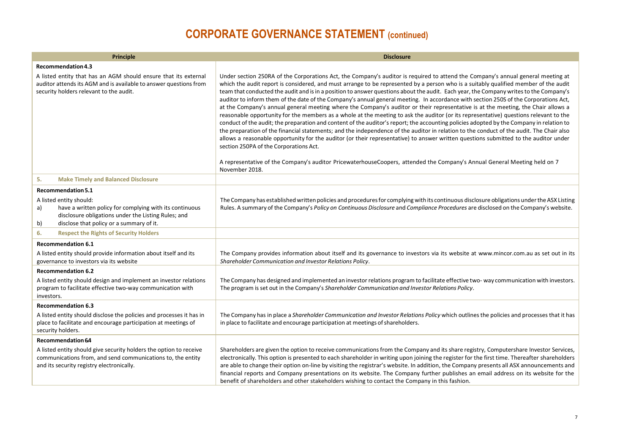| Principle                                                                                                                                                                                                               | <b>Disclosure</b>                                                                                                                                                                                                                                                                                                                                                                                                                                                                                                                                                                                                                                                                                                                                                                                                                                                                                                                                                                                                                                                                                                                                                                                                                                                                                                                                                                                                                                                 |
|-------------------------------------------------------------------------------------------------------------------------------------------------------------------------------------------------------------------------|-------------------------------------------------------------------------------------------------------------------------------------------------------------------------------------------------------------------------------------------------------------------------------------------------------------------------------------------------------------------------------------------------------------------------------------------------------------------------------------------------------------------------------------------------------------------------------------------------------------------------------------------------------------------------------------------------------------------------------------------------------------------------------------------------------------------------------------------------------------------------------------------------------------------------------------------------------------------------------------------------------------------------------------------------------------------------------------------------------------------------------------------------------------------------------------------------------------------------------------------------------------------------------------------------------------------------------------------------------------------------------------------------------------------------------------------------------------------|
| Recommendation 4.3                                                                                                                                                                                                      |                                                                                                                                                                                                                                                                                                                                                                                                                                                                                                                                                                                                                                                                                                                                                                                                                                                                                                                                                                                                                                                                                                                                                                                                                                                                                                                                                                                                                                                                   |
| A listed entity that has an AGM should ensure that its external<br>auditor attends its AGM and is available to answer questions from<br>security holders relevant to the audit.                                         | Under section 250RA of the Corporations Act, the Company's auditor is required to attend the Company's annual general meeting at<br>which the audit report is considered, and must arrange to be represented by a person who is a suitably qualified member of the audit<br>team that conducted the audit and is in a position to answer questions about the audit. Each year, the Company writes to the Company's<br>auditor to inform them of the date of the Company's annual general meeting. In accordance with section 250S of the Corporations Act,<br>at the Company's annual general meeting where the Company's auditor or their representative is at the meeting, the Chair allows a<br>reasonable opportunity for the members as a whole at the meeting to ask the auditor (or its representative) questions relevant to the<br>conduct of the audit; the preparation and content of the auditor's report; the accounting policies adopted by the Company in relation to<br>the preparation of the financial statements; and the independence of the auditor in relation to the conduct of the audit. The Chair also<br>allows a reasonable opportunity for the auditor (or their representative) to answer written questions submitted to the auditor under<br>section 250PA of the Corporations Act.<br>A representative of the Company's auditor PricewaterhouseCoopers, attended the Company's Annual General Meeting held on 7<br>November 2018. |
| <b>Make Timely and Balanced Disclosure</b><br>5.                                                                                                                                                                        |                                                                                                                                                                                                                                                                                                                                                                                                                                                                                                                                                                                                                                                                                                                                                                                                                                                                                                                                                                                                                                                                                                                                                                                                                                                                                                                                                                                                                                                                   |
| Recommendation 5.1<br>A listed entity should:<br>have a written policy for complying with its continuous<br>a)<br>disclosure obligations under the Listing Rules; and<br>disclose that policy or a summary of it.<br>b) | The Company has established written policies and procedures for complying with its continuous disclosure obligations under the ASX Listing<br>Rules. A summary of the Company's Policy on Continuous Disclosure and Compliance Procedures are disclosed on the Company's website.                                                                                                                                                                                                                                                                                                                                                                                                                                                                                                                                                                                                                                                                                                                                                                                                                                                                                                                                                                                                                                                                                                                                                                                 |
| 6.<br><b>Respect the Rights of Security Holders</b>                                                                                                                                                                     |                                                                                                                                                                                                                                                                                                                                                                                                                                                                                                                                                                                                                                                                                                                                                                                                                                                                                                                                                                                                                                                                                                                                                                                                                                                                                                                                                                                                                                                                   |
| <b>Recommendation 6.1</b>                                                                                                                                                                                               |                                                                                                                                                                                                                                                                                                                                                                                                                                                                                                                                                                                                                                                                                                                                                                                                                                                                                                                                                                                                                                                                                                                                                                                                                                                                                                                                                                                                                                                                   |
| A listed entity should provide information about itself and its<br>governance to investors via its website                                                                                                              | The Company provides information about itself and its governance to investors via its website at www.mincor.com.au as set out in its<br>Shareholder Communication and Investor Relations Policy.                                                                                                                                                                                                                                                                                                                                                                                                                                                                                                                                                                                                                                                                                                                                                                                                                                                                                                                                                                                                                                                                                                                                                                                                                                                                  |
| <b>Recommendation 6.2</b>                                                                                                                                                                                               |                                                                                                                                                                                                                                                                                                                                                                                                                                                                                                                                                                                                                                                                                                                                                                                                                                                                                                                                                                                                                                                                                                                                                                                                                                                                                                                                                                                                                                                                   |
| A listed entity should design and implement an investor relations<br>program to facilitate effective two-way communication with<br>investors.                                                                           | The Company has designed and implemented an investor relations program to facilitate effective two-way communication with investors.<br>The program is set out in the Company's Shareholder Communication and Investor Relations Policy.                                                                                                                                                                                                                                                                                                                                                                                                                                                                                                                                                                                                                                                                                                                                                                                                                                                                                                                                                                                                                                                                                                                                                                                                                          |
| <b>Recommendation 6.3</b>                                                                                                                                                                                               |                                                                                                                                                                                                                                                                                                                                                                                                                                                                                                                                                                                                                                                                                                                                                                                                                                                                                                                                                                                                                                                                                                                                                                                                                                                                                                                                                                                                                                                                   |
| A listed entity should disclose the policies and processes it has in<br>place to facilitate and encourage participation at meetings of<br>security holders.                                                             | The Company has in place a Shareholder Communication and Investor Relations Policy which outlines the policies and processes that it has<br>in place to facilitate and encourage participation at meetings of shareholders.                                                                                                                                                                                                                                                                                                                                                                                                                                                                                                                                                                                                                                                                                                                                                                                                                                                                                                                                                                                                                                                                                                                                                                                                                                       |
| Recommendation 64                                                                                                                                                                                                       |                                                                                                                                                                                                                                                                                                                                                                                                                                                                                                                                                                                                                                                                                                                                                                                                                                                                                                                                                                                                                                                                                                                                                                                                                                                                                                                                                                                                                                                                   |
| A listed entity should give security holders the option to receive<br>communications from, and send communications to, the entity<br>and its security registry electronically.                                          | Shareholders are given the option to receive communications from the Company and its share registry, Computershare Investor Services,<br>electronically. This option is presented to each shareholder in writing upon joining the register for the first time. Thereafter shareholders<br>are able to change their option on-line by visiting the registrar's website. In addition, the Company presents all ASX announcements and<br>financial reports and Company presentations on its website. The Company further publishes an email address on its website for the<br>benefit of shareholders and other stakeholders wishing to contact the Company in this fashion.                                                                                                                                                                                                                                                                                                                                                                                                                                                                                                                                                                                                                                                                                                                                                                                         |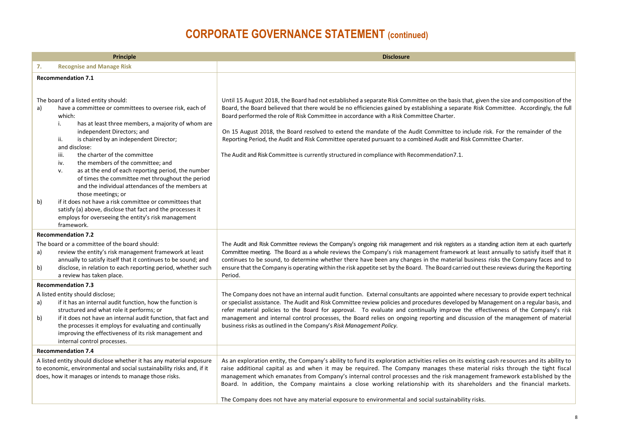| <b>Recognise and Manage Risk</b><br>7.                                                                                                                                                                                                                                                                                                                                                                                                                                                                                                                                                                                                                                                   |                                                                                                                                                                                                                                                                                                                                                                                                                                                                                                                                                                                                                                                                                                                              |
|------------------------------------------------------------------------------------------------------------------------------------------------------------------------------------------------------------------------------------------------------------------------------------------------------------------------------------------------------------------------------------------------------------------------------------------------------------------------------------------------------------------------------------------------------------------------------------------------------------------------------------------------------------------------------------------|------------------------------------------------------------------------------------------------------------------------------------------------------------------------------------------------------------------------------------------------------------------------------------------------------------------------------------------------------------------------------------------------------------------------------------------------------------------------------------------------------------------------------------------------------------------------------------------------------------------------------------------------------------------------------------------------------------------------------|
|                                                                                                                                                                                                                                                                                                                                                                                                                                                                                                                                                                                                                                                                                          |                                                                                                                                                                                                                                                                                                                                                                                                                                                                                                                                                                                                                                                                                                                              |
| <b>Recommendation 7.1</b>                                                                                                                                                                                                                                                                                                                                                                                                                                                                                                                                                                                                                                                                |                                                                                                                                                                                                                                                                                                                                                                                                                                                                                                                                                                                                                                                                                                                              |
| The board of a listed entity should:<br>have a committee or committees to oversee risk, each of<br>a)<br>which:<br>has at least three members, a majority of whom are<br>i.<br>independent Directors; and<br>is chaired by an independent Director;<br>ii.<br>and disclose:<br>the charter of the committee<br>iii.<br>the members of the committee; and<br>iv.<br>as at the end of each reporting period, the number<br>v.<br>of times the committee met throughout the period<br>and the individual attendances of the members at<br>those meetings; or<br>if it does not have a risk committee or committees that<br>b)<br>satisfy (a) above, disclose that fact and the processes it | Until 15 August 2018, the Board had not established a separate Risk Committee on the basis that, given the size and composition of the<br>Board, the Board believed that there would be no efficiencies gained by establishing a separate Risk Committee. Accordingly, the full<br>Board performed the role of Risk Committee in accordance with a Risk Committee Charter.<br>On 15 August 2018, the Board resolved to extend the mandate of the Audit Committee to include risk. For the remainder of the<br>Reporting Period, the Audit and Risk Committee operated pursuant to a combined Audit and Risk Committee Charter.<br>The Audit and Risk Committee is currently structured in compliance with Recommendation7.1. |
| employs for overseeing the entity's risk management<br>framework.                                                                                                                                                                                                                                                                                                                                                                                                                                                                                                                                                                                                                        |                                                                                                                                                                                                                                                                                                                                                                                                                                                                                                                                                                                                                                                                                                                              |
| <b>Recommendation 7.2</b>                                                                                                                                                                                                                                                                                                                                                                                                                                                                                                                                                                                                                                                                |                                                                                                                                                                                                                                                                                                                                                                                                                                                                                                                                                                                                                                                                                                                              |
| The board or a committee of the board should:<br>review the entity's risk management framework at least<br>a)<br>annually to satisfy itself that it continues to be sound; and<br>disclose, in relation to each reporting period, whether such<br>b)<br>a review has taken place.                                                                                                                                                                                                                                                                                                                                                                                                        | The Audit and Risk Committee reviews the Company's ongoing risk management and risk registers as a standing action item at each quarterly<br>Committee meeting. The Board as a whole reviews the Company's risk management framework at least annually to satisfy itself that it<br>continues to be sound, to determine whether there have been any changes in the material business risks the Company faces and to<br>ensure that the Company is operating within the risk appetite set by the Board. The Board carried out these reviews during the Reporting<br>Period.                                                                                                                                                   |
| <b>Recommendation 7.3</b>                                                                                                                                                                                                                                                                                                                                                                                                                                                                                                                                                                                                                                                                |                                                                                                                                                                                                                                                                                                                                                                                                                                                                                                                                                                                                                                                                                                                              |
| A listed entity should disclose;<br>if it has an internal audit function, how the function is<br>a)<br>structured and what role it performs; or<br>if it does not have an internal audit function, that fact and<br>b)<br>the processes it employs for evaluating and continually<br>improving the effectiveness of its risk management and<br>internal control processes.                                                                                                                                                                                                                                                                                                               | The Company does not have an internal audit function. External consultants are appointed where necessary to provide expert technical<br>or specialist assistance. The Audit and Risk Committee review policies and procedures developed by Management on a regular basis, and<br>refer material policies to the Board for approval. To evaluate and continually improve the effectiveness of the Company's risk<br>management and internal control processes, the Board relies on ongoing reporting and discussion of the management of material<br>business risks as outlined in the Company's Risk Management Policy.                                                                                                      |
| <b>Recommendation 7.4</b>                                                                                                                                                                                                                                                                                                                                                                                                                                                                                                                                                                                                                                                                |                                                                                                                                                                                                                                                                                                                                                                                                                                                                                                                                                                                                                                                                                                                              |
| A listed entity should disclose whether it has any material exposure<br>to economic, environmental and social sustainability risks and, if it<br>does, how it manages or intends to manage those risks.                                                                                                                                                                                                                                                                                                                                                                                                                                                                                  | As an exploration entity, the Company's ability to fund its exploration activities relies on its existing cash resources and its ability to<br>raise additional capital as and when it may be required. The Company manages these material risks through the tight fiscal<br>management which emanates from Company's internal control processes and the risk management framework established by the<br>Board. In addition, the Company maintains a close working relationship with its shareholders and the financial markets.<br>The Company does not have any material exposure to environmental and social sustainability risks.                                                                                        |